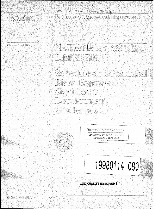

)\$!3@r0ji.i)l^" *'iM0\$*

**ID)«.** p^pCifl ito Comgressional Requesters

| e it <b>opr</b> | NATHONAT NIGSTER       |
|-----------------|------------------------|
|                 | <b>DERENSE</b>         |
|                 |                        |
|                 | Schedule and Rechnical |
|                 | Risks Represent        |
|                 | Significant            |
|                 | Development            |

Challenges



**<sup>I</sup>** *~mtm*"Q ^ t-C-\1 -i'i -i'li **Approved** for poible release; Distribution Unlimited

# **19980114 080**

"""

**mac QUALITY msPEüTäiD a**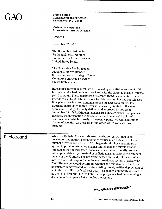# $\mathop{\rm GAO}\limits_{\substack{\text{United States} \\\text{Washington, II}}}$

#### **General Accounting Office Washington, D.C. 20548**

**National Security and International Affairs Division**

B-275013

December 12, 1997

The Honorable Carl Levin Ranking Minority Member Committee on Armed Services United States Senate

The Honorable Jeff Bingaman Ranking Minority Member Subcommittee on Strategic Forces Committee on Armed Services United States Senate

In response to your request, we are providing an initial assessment of the technical and schedule risks associated with the National Missile Defense (NMD) program. The Department of Defense (DOD) has indicated that it intends to ask for \$2.3 billion more for this program but has not released final plans showing how it intends to use the additional funds. The information provided in this letter is necessarily limited to the NMD acquisition strategy formally defined and approved by DOD as of September 19, 1997. Although changes are expected when final plans are released, the information in this letter should be a useful point of reference from which to analyze those new plans. We will continue to obtain information on these risks and other issues you asked us to examine.

**Background** While the Ballistic Missile Defense Organization (BMDO) had been developing and maturing technologies for use in an NMD system for a number of years, in October 1996.it began developing a specific NMD system to provide protection against limited ballistic missile attacks targeted at the United States. Its mission is to detect, identify, engage, intercept, and destroy threatening ballistic missiles prior to their impact on any of the 50 states. The program focuses on the development of a system that could support a deployment readiness review in fiscal year 2000. The review would determine whether the initial system has been adequately demonstrated and if the existing threat justifies deployment of an initial capability by fiscal year 2003. This plan is commonly referred to as the "3+3" program. Figure <sup>1</sup> shows the program schedule, assuming a decision in fiscal year 2000 to deploy the system.

## DTIC QUALITY INSPECTED 3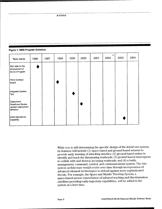#### **Figure 1: NMD Program Schedule**

| Task name                                                                | 1996 | 1997 | 1998          | 1999 | 2000 | 2001 | ٦<br>2002 | 2003 | 2004 |
|--------------------------------------------------------------------------|------|------|---------------|------|------|------|-----------|------|------|
| Start date for the<br>development of<br>the 3+3 Program                  |      |      |               |      |      |      |           |      |      |
| Prime Contract<br>Award                                                  |      |      |               |      |      |      |           |      |      |
| Integrated System<br>Test                                                |      |      | $\sim$ $\sim$ |      |      |      |           |      |      |
| Deployment<br><b>Readiness Review</b><br>(system deployment<br>decision) |      |      |               |      |      |      |           |      |      |
| Initial Operational<br>Capability                                        |      |      |               |      |      |      |           |      |      |

While DOD is still determining the specific design of the initial NMD system, its features will include (1) space-based and ground-based sensors to provide early warning of attacking missiles; (2) ground-based radars to identify and track the threatening warheads; (3) ground-based interceptors to collide with and destroy incoming warheads; and (4) a battle management, command, control, and communications system. The NMD system architecture would evolve over time through incorporation of advanced element technologies to defend against more sophisticated threats. For example, the Space and Missile Tracking System, a space-based sensor constellation of infrared tracking and discrimination satellites providing early-trajectory capabilities, will be added to the system at a later time.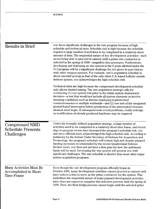| <b>Results in Brief</b>                                               | DOD faces significant challenges in the NMD program because of high<br>schedule and technical risks. Schedule risk is high because the schedule<br>requires a large number of activities to be completed in a relatively short<br>amount of time. The sequential nature of key development activities—such<br>as not being able to proceed in earnest until a prime NMD contractor is<br>selected in the spring of 1998—magnifies time pressures. Furthermore,<br>developing and deploying an NMD system in the 6 years allotted under the<br>3+3 program will be a significant challenge for DOD given its past history<br>with other weapon systems. For example, NMD's acquisition schedule is<br>about one-half as long as that of the only other U.S.-based ballistic missile<br>defense system. DOD acknowledges the high schedule risk.<br>Technical risks are high because the compressed development schedule<br>only allows limited testing. The NMD acquisition strategy calls for<br>conducting (1) one system test prior to the initial system deployment<br>decision—a test that would not include all system elements or involve<br>stressing conditions such as threats employing sophisticated<br>countermeasures or multiple warheads—and (2) one test of the integrated<br>ground-based interceptor before production of the interceptor's booster<br>element must begin. If subsequent tests reveal problems, costly redesign<br>or modification of already produced hardware may be required. |
|-----------------------------------------------------------------------|--------------------------------------------------------------------------------------------------------------------------------------------------------------------------------------------------------------------------------------------------------------------------------------------------------------------------------------------------------------------------------------------------------------------------------------------------------------------------------------------------------------------------------------------------------------------------------------------------------------------------------------------------------------------------------------------------------------------------------------------------------------------------------------------------------------------------------------------------------------------------------------------------------------------------------------------------------------------------------------------------------------------------------------------------------------------------------------------------------------------------------------------------------------------------------------------------------------------------------------------------------------------------------------------------------------------------------------------------------------------------------------------------------------------------------------------------------------------------------------------------------------------|
| <b>Compressed NMD</b><br><b>Schedule Presents</b><br>Challenges       | Under the formally defined acquisition strategy, a large number of<br>activities need to be completed in a relatively short time frame, and recent<br>slips in program events have increased the program's schedule risk. DOD<br>and BMDO officials have acknowledged the high schedule risk. According to<br>testimony by the former Under Secretary of Defense for Acquisition and<br>Technology, the program's schedule will remain high risk despite planned<br>funding increases recommended by the recent Quadrennial Defense<br>Review (QDR). DOD does not yet have a firm plan for how the additional<br>funds will be used. Developing the NMD system will present pop with<br>significant challenges. The NMD schedule is shorter than most other major<br>system acquisition programs.                                                                                                                                                                                                                                                                                                                                                                                                                                                                                                                                                                                                                                                                                                                  |
| Many Activities Must Be<br>Accomplished in Short<br><b>Time Frame</b> | Even though the NMD development program officially began in<br>October 1996, many development activities cannot proceed in earnest until<br>BMDO selects a firm to serve as the prime contractor for the system. This<br>underlines the sequential nature of many planned development activities.<br>BMDO does not expect to complete this selection process until the spring of<br>1998. Then, the final design process cannot begin until the selected prime                                                                                                                                                                                                                                                                                                                                                                                                                                                                                                                                                                                                                                                                                                                                                                                                                                                                                                                                                                                                                                                     |

J.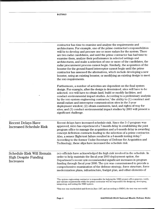|                                                                                     | contractor has time to examine and analyze the requirements and<br>architectures. For example, one of the prime contractor's responsibilities<br>will be to develop and procure one or more radars for the system. There<br>are two radar candidates, and until the prime contractor has had time to<br>examine them, analyze their performance in selected settings and<br>architectures, and make a selection of one or more of the candidates, the<br>radar procurement process cannot begin. Similarly, the acquisition of the<br>booster for the ground-based interceptor cannot begin until the prime<br>contractor has assessed the alternatives, which include developing a new<br>booster, using an existing booster, or modifying an existing design to meet<br>the NMD requirements. |
|-------------------------------------------------------------------------------------|-------------------------------------------------------------------------------------------------------------------------------------------------------------------------------------------------------------------------------------------------------------------------------------------------------------------------------------------------------------------------------------------------------------------------------------------------------------------------------------------------------------------------------------------------------------------------------------------------------------------------------------------------------------------------------------------------------------------------------------------------------------------------------------------------|
|                                                                                     | Furthermore, a number of activities are dependent on the final system<br>design. For example, after the design is determined, sites will have to be<br>selected. DOD will have to obtain land, build or modify facilities, and<br>conduct environmental impact studies. According to a preliminary analysis<br>by the NMD system engineering contractor, <sup>1</sup> the ability to $(1)$ construct and<br>install radars and interceptor communication sites in the 3-year<br>deployment window; (2) obtain easements, land, and rights-of-way for<br>sites; and (3) conduct environmental impact studies by 2003 will present a<br>significant challenge.                                                                                                                                    |
| <b>Recent Delays Have</b><br><b>Increased Schedule Risk</b>                         | Recent delays have increased schedule risk. Since the 3+3 program was<br>approved, BMDO has experienced a 7-month delay in establishing the joint<br>program office to manage the acquisition and a 6-month delay in awarding<br>concept definition contracts leading to the selection of a prime contractor.<br>Also, a sensor flight-test failure resulted in a 6-month testing delay. <sup>2</sup><br>According to the former Under Secretary of Defense for Acquisition and<br>Technology, these slips have increased the schedule risk.                                                                                                                                                                                                                                                    |
| <b>Schedule Risk Will Remain</b><br><b>High Despite Funding</b><br><b>Increases</b> | DOD officials have acknowledged the high risk involved in the schedule. In<br>order to help maintain the fiscal year 2003 deployment option, the<br>Department's recent QDR recommended significant increases in program<br>funding through fiscal year 2000. The QDR was commissioned to provide a<br>comprehensive examination of the defense strategy, force structure, force<br>modernization plans, infrastructure, budget plan, and other elements of                                                                                                                                                                                                                                                                                                                                     |
|                                                                                     | <sup>1</sup> The system engineering contractor is responsible for helping the NMD project office generate, verify,<br>and validate requirements while the prime contractor will be responsible for designing, developing,<br>integrating, and testing the NMD system.                                                                                                                                                                                                                                                                                                                                                                                                                                                                                                                           |

<sup>2</sup>This test was rescheduled and flown in June 1997, and according to BMDO, the test was successful.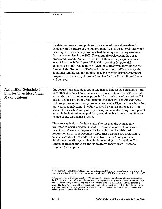|                                                                                          | the defense program and policies. It considered three alternatives for<br>dealing with the future of the NMD program. Two of the alternatives would<br>have slipped the earliest possible schedule for system deployment to a<br>date later than fiscal year 2003. The alternative selected in the QDR is<br>predicated on adding an estimated \$2.3 billion to the program in fiscal<br>year 1998 through fiscal year 2003, while retaining the potential<br>deployment of the system in fiscal year 2003. However, according to the<br>former Under Secretary of Defense for Acquisition and Technology, the<br>additional funding will not reduce the high schedule risk inherent in the<br>program. DOD does not yet have a firm plan for how the additional funds<br>will be used. |
|------------------------------------------------------------------------------------------|-----------------------------------------------------------------------------------------------------------------------------------------------------------------------------------------------------------------------------------------------------------------------------------------------------------------------------------------------------------------------------------------------------------------------------------------------------------------------------------------------------------------------------------------------------------------------------------------------------------------------------------------------------------------------------------------------------------------------------------------------------------------------------------------|
| <b>Acquisition Schedule Is</b><br><b>Shorter Than Most Other</b><br><b>Major Systems</b> | The acquisition schedule is about one-half as long as the Safeguard's—the<br>only other U.S.-based ballistic missile defense system. <sup>3</sup> The NMD schedule<br>is also shorter than schedules projected for acquisition of most other U.S.<br>missile defense programs. For example, the Theater High Altitude Area<br>Defense program is currently projected to require 13 years to reach its first<br>unit-equipped milestone. The Patriot PAC-3 system is projected to take<br>5 years from the beginning of engineering and manufacturing development<br>to reach the first unit-equipped date, even though it is only a modification<br>to an existing air defense system.                                                                                                  |
|                                                                                          | The NMD acquisition schedule is also shorter than the average time<br>projected to acquire and field 59 other major weapon systems that we<br>examined. <sup>4</sup> These are the programs for which DOD had Selected<br>Acquisition Reports in December 1996. These systems are projected to<br>take an average of just under 10 years from the beginning of their<br>development until they reach an initial operating capability date. The<br>estimated fielding times for the 59 programs ranged from 5 years to<br>19 years. (See app. I.)                                                                                                                                                                                                                                        |

<sup>•&#</sup>x27;Development of Safeguard system components began in 1963 and the system's single site at Grand Forks, North Dakota, achieved full operational capability in 1975. The program was terminated in 1976.

<sup>4</sup>We reviewed all of the December 31,1996, Selected Acquisition Reports for systems that contained both (1) an acquisition milestone I date (approval to begin developing a new system) or a milestone II date (approval to begin engineering and manufacturing development) and (2) an initial operating capability date. We measured the time estimated from either milestones <sup>I</sup> or II to the initial operating capability date for the 59 programs that met that criteria. The mean time between these milestones was 9.9 years. The median was 9.1 years.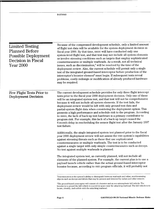| Limited Testing<br><b>Planned Before</b><br><b>Possible Deployment</b><br>Decision in Fiscal<br>Year 2000 | Because of the compressed development schedule, only a limited amount<br>of flight test data will be available for the system deployment decision in<br>fiscal year 2000. By that time, BMDO will have conducted only one<br>system-level flight test, and that test may not include all system elements<br>or involve stressing conditions such as targets that employ sophisticated<br>countermeasures or multiple warheads. As a result, not all technical<br>issues, such as discrimination, <sup>5</sup> will be resolved by the time of the<br>deployment review. Also, the current schedule will permit only a single<br>test of the integrated ground-based interceptor before production of the<br>interceptor's booster element <sup>6</sup> must begin. If subsequent tests reveal<br>problems, costly redesign or modification of already produced hardware<br>may be required. |
|-----------------------------------------------------------------------------------------------------------|---------------------------------------------------------------------------------------------------------------------------------------------------------------------------------------------------------------------------------------------------------------------------------------------------------------------------------------------------------------------------------------------------------------------------------------------------------------------------------------------------------------------------------------------------------------------------------------------------------------------------------------------------------------------------------------------------------------------------------------------------------------------------------------------------------------------------------------------------------------------------------------------|
| Few Flight Tests Prior to<br><b>Deployment Decision</b>                                                   | The current development schedule provides for only three flight intercept<br>tests prior to the fiscal year 2000 deployment decision. Only one of these<br>will be an integrated system test, and that test will not be comprehensive<br>because it will not include all system elements. If the test fails, the<br>deployment review would be left with only ground test data and<br>partial-system flight data when considering the deployment option. This<br>presents a high performance and schedule risk to the program. According<br>to BMDO, the lack of back-up test hardware is a primary contributor to<br>program risk. For example, this lack of a back-up target caused the<br>6-month delay in rescheduling the sensor flight test after the January 1997<br>test failure.                                                                                                   |
|                                                                                                           | Additionally, the single integrated system test planned prior to the fiscal<br>year 2000 deployment review will not assess the NMD system's capabilities<br>against stressing threats such as those that use sophisticated<br>countermeasures or multiple warheads. The test is to be conducted<br>against a single target with only simple countermeasures such as decoys.<br>No test against multiple warheads is planned.                                                                                                                                                                                                                                                                                                                                                                                                                                                                |
|                                                                                                           | The integrated system test, as currently planned, will not include all<br>elements of the planned system. For example, the current plan is to use a<br>payload launch vehicle rather than the actual ground-based interceptor<br>booster because, according to NMD program officials, it will probably not                                                                                                                                                                                                                                                                                                                                                                                                                                                                                                                                                                                  |
|                                                                                                           | <sup>5</sup> Discrimination is the system's ability to distinguish between warheads and other, nonthreatening<br>objects such as decoys and debris that may be present and detected by radars and other sensors.<br>The ground-based intercentor will consist of a booster and an exo-atmospheric kill vehicle. The                                                                                                                                                                                                                                                                                                                                                                                                                                                                                                                                                                         |

**B-275013**

<sup>&#</sup>x27;The ground-based interceptor will consist of a booster and an exo-atmospheric kill vehicle. The booster is to propel the kill vehicle to a point in space near the attacking warhead. The kill vehicle is to locate, identify, and collide with the attacking warhead.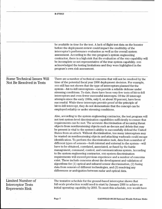B-275013

 $\ddot{\phantom{a}}$ 

 $\hat{\boldsymbol{\beta}}$ 

|                                                                  | be available in time for the test. A lack of flight test data on the booster<br>before the deployment review could impact the credibility of the<br>interceptor's performance evaluation as well as the overall system<br>assessment. According to the NMD program's system engineering<br>contractor, there is a high risk that the evaluation of the NMD capability will<br>be incomplete or not representative of the true system capability. DOD<br>acknowledged the testing limitations and they were highlighted in the<br>program's own risk assessment.                                                                                                                                                                                                                                                                                                                                                                                                                                                                                                                                                                                                                                                                                                                                           |
|------------------------------------------------------------------|-----------------------------------------------------------------------------------------------------------------------------------------------------------------------------------------------------------------------------------------------------------------------------------------------------------------------------------------------------------------------------------------------------------------------------------------------------------------------------------------------------------------------------------------------------------------------------------------------------------------------------------------------------------------------------------------------------------------------------------------------------------------------------------------------------------------------------------------------------------------------------------------------------------------------------------------------------------------------------------------------------------------------------------------------------------------------------------------------------------------------------------------------------------------------------------------------------------------------------------------------------------------------------------------------------------|
| <b>Some Technical Issues Will</b><br>Not Be Resolved in Tests    | There are a number of technical concerns that will not be resolved by the<br>time of the potential fiscal year 2000 deployment decision. For example,<br>bop still has not shown that the type of interceptors planned for the<br>system—hit-to-kill interceptors—can provide a reliable defense under<br>stressing conditions. To date, there have been very few tests of hit-to-kill<br>interceptors and even fewer successful intercepts. Of the 20 intercept<br>attempts since the early 1980s, only 6, or about 30 percent, have been<br>successful. While these intercepts provide proof of the principle of<br>hit-to-kill intercept, they do not demonstrate that the concept can be<br>employed reliably or under stressing conditions.                                                                                                                                                                                                                                                                                                                                                                                                                                                                                                                                                          |
|                                                                  | Also, according to the system engineering contractor, the test program will<br>not test system-level discrimination capabilities sufficiently to ensure that<br>requirements can be met. The accurate discrimination of incoming threat<br>objects from nonthreatening objects such as decoys and debris that may<br>be present is vital to the system's ability to successfully defend the United<br>States from an attack. Without discrimination, too many interceptors may<br>be wasted on nonthreatening objects and attacking warheads could escape<br>identification. To perform the discrimination task, data from a number of<br>different types of sensors---both internal and external to the system---will<br>have to be obtained, correlated, associated, or fused by the battle<br>management, command, control, and communications system. According<br>to the system engineering contractor, NMD system discrimination<br>requirements will exceed previous experience and a number of concerns<br>exist. These include concerns about the development and validation of<br>algorithms for (1) optical and infrared sensor discrimination, (2) fusing<br>data from sensors of different technologies, and (3) resolving any<br>differences or ambiguities between radar and optical data. |
| Limited Number of<br><b>Interceptor Tests</b><br>Represents Risk | The tentative schedule for the ground-based interceptor shows that<br>full-scale production would need to start by January 2000 to achieve an<br>initial operating capability by 2003. To meet this schedule, pop would have                                                                                                                                                                                                                                                                                                                                                                                                                                                                                                                                                                                                                                                                                                                                                                                                                                                                                                                                                                                                                                                                              |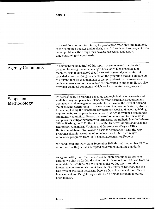$\sim$ 

|                          | to award the contract for interceptor production after only one flight test<br>of the combined booster and its designated kill vehicle. If subsequent tests<br>reveal problems, the design may have to be revised and costly,<br>time-consuming changes made.                                                                                                                                                                                                                                                                                                                                                                                                                                                                                                                                                                                                                                                                                                                                                                                                  |
|--------------------------|----------------------------------------------------------------------------------------------------------------------------------------------------------------------------------------------------------------------------------------------------------------------------------------------------------------------------------------------------------------------------------------------------------------------------------------------------------------------------------------------------------------------------------------------------------------------------------------------------------------------------------------------------------------------------------------------------------------------------------------------------------------------------------------------------------------------------------------------------------------------------------------------------------------------------------------------------------------------------------------------------------------------------------------------------------------|
| <b>Agency Comments</b>   | In commenting on a draft of this report, DOD concurred that the NMD<br>program faces significant challenges because of high schedule and<br>technical risk. It also stated that the report is generally accurate, but<br>provided some clarifying comments on the program's status, comparison<br>of certain flight tests, and impact of testing and test hardware on risk.<br>DOD's comments and our evaluation are presented in appendix II. DOD also<br>provided technical comments, which we incorporated as appropriate.                                                                                                                                                                                                                                                                                                                                                                                                                                                                                                                                  |
| Scope and<br>Methodology | To assess the NMD program's schedule and technical risks, we reviewed<br>available program plans, test plans, milestone schedules, requirements<br>documents, and management reports. To determine the level of risk and<br>major factors contributing to it, we analyzed the program's status, strategy<br>for accomplishing the remaining development work and meeting fielding<br>requirements, and approaches to demonstrating the system's capabilities<br>and military suitability. We also discussed schedule and technical risks<br>and plans for mitigating them with officials at the Ballistic Missile Defense<br>Office, Washington, D.C.; the Office of the Director, Operational Test and<br>Evaluation, Alexandria, Virginia; and the Army NMD Project Office,<br>Huntsville, Alabama. To provide a basis for comparison with the NMD<br>program schedule, we obtained schedule data for 59 other major<br>acquisition programs from DOD's Selected Acquisition Reports.<br>We conducted our work from September 1996 through September 1997 in |
|                          | accordance with generally accepted government auditing standards.<br>As agreed with your office, unless you publicly announce its contents<br>earliler, we plan no further distribution of this report until 30 days from its<br>issue date. At that time, we will send copies of this report to other<br>interested congressional committees, the Secretary of Defense, and the<br>Directors of the Ballistic Missile Defense Organization and the Office of<br>Management and Budget. Copies will also be made available to others<br>upon request.                                                                                                                                                                                                                                                                                                                                                                                                                                                                                                          |

 $\bar{z}$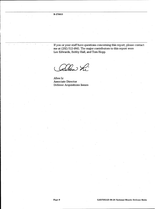If you or your staff have questions concerning this report, please contact me at (202) 512-4841. The major contributors to this report were Lee Edwards, Bobby Hall, and Tom Hopp.

*^Qj^o^*

Allen Li Associate Director Defense Acquisitions Issues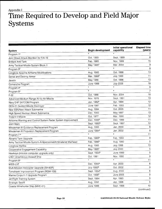## Appendix I Time Required to Develop and Field Major Systems

|                                                                 |                          | Initial operational | <b>Elapsed time</b> |
|-----------------------------------------------------------------|--------------------------|---------------------|---------------------|
| <b>System</b>                                                   | <b>Begin development</b> | capability          | (years)             |
| Program 1ª                                                      | p                        | a                   | 7                   |
| Joint Direct Attack Munition for F/A-18                         | Oct. 1993                | Sept. 1999          | 6                   |
| <b>Brilliant Anti-Tank</b>                                      | Feb. 1985                | Nov. 1999           | 15                  |
| Army Tactical Missile System Block II                           | May 1995 <sup>b</sup>    | Mar. 2004           | 9                   |
| Program 3 <sup>ª</sup>                                          | c                        | a                   | 8                   |
| Longbow Apache-Airframe Modifications                           | Aug. 1985                | Oct. 1998           | 13                  |
| Sense and Destroy Armor                                         | Mar. 1988 <sup>b</sup>   | <b>July 1999</b>    | 11                  |
| Javelin                                                         | May 1986                 | Oct. 1996           | 10                  |
| Comanche Program                                                | <b>June 1988</b>         | <b>July 2006</b>    | 18                  |
| Program 4 <sup>ª</sup>                                          | c                        | a                   | - 8                 |
| Program 5 <sup>a</sup>                                          | p                        | a                   | $\overline{7}$      |
| $F-22$                                                          | Oct. 1986                | Nov. 2004           | 18                  |
| Advanced Medium Range Air-to-Air Missile                        | Nov. 1978                | Sept. 1991          | 13                  |
| Navy EHF SATCOM Program                                         | Jan. 1982 <sup>b</sup>   | Apr. 1994           | 12                  |
| DDG-51 Guided Missile Destroyer                                 | <b>June 1981</b>         | Feb. 1993           | 12                  |
| New SSN/New Attack Submarine                                    | Aug. 1994                | Oct. 2005           | 11                  |
| High Speed Nuclear Attack Submarine                             | Dec. 1983                | May 1997            | 13                  |
| <b>Trident II Missile</b>                                       | Oct. 1977                | Mar. 1990           | 12                  |
| Airborne Warning and Control System Radar System Improvement    | Dec. 1988 <sup>b</sup>   | Dec. 1999           | 11                  |
| <b>Joint Stars</b>                                              | Sept. 1985 <sup>b</sup>  | Sept. 1997          | 12                  |
| Minuteman III Guidance Replacement Program                      | Aug. 1993                | Jan. 2000           | 6                   |
| Minuteman III Propulsion Replacement Program                    | June 1994 <sup>b</sup>   | Jan. 2002           | 8                   |
| Program 7 <sup>a</sup>                                          | p                        | a                   | 11                  |
| Abrams Tank Upgrade                                             | Feb. 1985 <sup>b</sup>   | Feb. 1993           | 8                   |
| Army Tactical Missile System-Antipersonnel/Antimateriel Warhead | Feb. 1986 <sup>b</sup>   | Aug. 1990           | 5                   |
| Longbow Hellfire                                                | Aug. 1985                | <b>July 1998</b>    | 13                  |
| Cooperative Engagement Capability                               | May 1995 <sup>b</sup>    | <b>July 2000</b>    | 5                   |
| Hawkeye (mission computer upgrade only)                         | Sept. 1994 <sup>b</sup>  | <b>June 1999</b>    | 5                   |
| LHD1 Amphibious Assault Ship                                    | Oct. 1981                | Nov. 1990           | 9                   |
| Program 8 <sup>a</sup>                                          | c                        | a                   | 11                  |
| MIDS-LVT                                                        | Dec. 1993 <sup>b</sup>   | Apr. 2000           | 6                   |
| Multi-Mission Helicopter Upgrade (SH-60R)                       | July 1993 <sup>b</sup>   | Oct. 2002           | 9                   |
| Tomahawk Improvement Program (RGM-109)                          | Sept. 1994 <sup>b</sup>  | Aug. 2000           | 6                   |
| Marine Corps H-1 Upgrade Program                                | Oct. 1996 <sup>b</sup>   | <b>June 2005</b>    | 9                   |
| Jet Flight Training System                                      | Sept. 1984               | Apr. 1993           | 9                   |
| Strategic Sealift                                               | Aug. 1992                | Jan. 1998           | 5                   |
| Coastal Minehunter Ship (MHC-51)                                | <b>June 1986</b>         | Sept. 1996          | 10                  |
|                                                                 |                          |                     |                     |

(continued)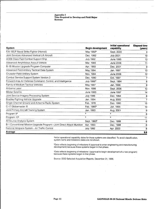#### **Appendix I Time Required to Develop and Field Major Systems**

| System                                                                | <b>Begin development</b> | Initial operational<br>capability | <b>Elapsed time</b><br>(years) |
|-----------------------------------------------------------------------|--------------------------|-----------------------------------|--------------------------------|
| F/A-18E/F Naval Strike Fighter (Hornet)                               | May 1992 <sup>b</sup>    | Sept. 2000                        | 8                              |
| Joint Services Advanced Vertical Lift Aircraft                        | Dec. 1982                | <b>July 2001</b>                  | 19                             |
| AOE6 Class Fast Combat Support Ship                                   | <b>July 1982</b>         | June 1995                         | 13                             |
| Advanced Amphibious Assault Vehicle                                   | Mar. 1995                | June 2006                         | 11                             |
| B-1B Mission Upgrade Program-Computer                                 | Apr. 1993                | Dec. 2001                         | 9                              |
| Advanced Field Artillery Tactical Data System                         | May 1984                 | Jan. 1997                         | 13                             |
| Crusader Field Artillery System                                       | Nov. 1994                | <b>June 2006</b>                  | 12                             |
| Combat Service Support System Version 3                               | Dec. 1990                | Oct. 1997                         | 7                              |
| Forward Area Air Defense Command, Control, and Intelligence           | <b>July 1986</b> b       | Sept. 1994                        | 8                              |
| Family of Medium Tactical Vehicles                                    | May 1987                 | Jan. 1996                         | 9                              |
| Airborne Laser                                                        | Nov. 1996                | Sept. 2006                        | 10                             |
| Milstar Satellite                                                     | June 1983                | <b>June 1997</b>                  | 14                             |
| Joint Service Imagery Processing System                               | <b>July 1986</b>         | Dec. 1994                         | 8                              |
| Bradley Fighting Vehicle Upgrade                                      | Jan. 1994                | Aug. 2000                         | 7                              |
| Single Channel Ground and Airborne Radio System                       | Feb. 1976                | Dec. 1990                         | 15                             |
| C-17 Globemaster III                                                  | Feb. 1985 <sup>b</sup>   | Jan. 1995                         | 10                             |
| Joint Primary Aircraft Training System                                | Jan. 1993                | Aug. 2001                         | 9                              |
| Program 9 <sup>a</sup>                                                | Þ                        | a                                 | 8                              |
| Program 10 <sup>a</sup>                                               | b                        | a                                 | 11                             |
| All Source Analysis System                                            | Sept. 1993 <sup>b</sup>  | Dec. 1999                         | 6                              |
| B-1 Conventional Mission Upgrade Program-Joint Direct Attack Munition | Apr. 1993                | Dec. 1998                         | 6                              |
| National Airspace System-Air Traffic Control                          | <b>July 1992</b>         | Apr. 2000                         | 8                              |
| Average                                                               |                          |                                   | 9.9                            |

<sup>a</sup>lnitial operational capability dates for these systems are classified. To avoid classification, system name and milestone dates are not shown.

<sup>b</sup>Date reflects beginning of milestone II (approval to enter engineering and manufacturing development) because these systems began in that phase.

<sup>c</sup>Date reflects beginning of milestone <sup>I</sup> (approval to begin development of a new program) because these systems began in that phase.

Source: DOD Selected Acquisition Reports, December 31, 1996.

 $\sim$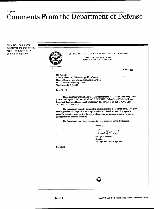### Appendix II Comments From the Department of Defense

Note: GAO comments supplementing those in the report text appear at the end of this appendix.  $\overbrace{\phantom{a}}^{a}$  OFFICE OF THE UNDER SECRETARY OF DEFENSE **30OO DEFENSE PENTAGON WASHINGTON. DC 20301-3000** COUISITION AND<br>TECHNOLOGY 14 NOV 1997 Mr. Allen Li Associate Director, Defense Acquisitions Issues National Security and International Affairs Division U. S. General Accounting Office Washington D. C. 20548 Dear Mr. Li: This is the Department of Defense (DoD) response to the General Accounting Office (GAO) draft report, "NATIONAL MISSILE DEFENSE: Schedule and Technical Risks Represent Significant Development Challenges," dated October 15, 1997, (GAO Code 707208), OSD Case 1477. The Department generally concurs that the National Missile Defense (NMD) program faces significant challenges because of high schedule and technical risks. The report is generally accurate; however, the Department feels some sections contain errors which are addressed in the attached enclosure. The Department appreciates the opportunity to comment on the draft report. Sincerely, DingMdi George R. Schneiter **Director** Strategic and Tactical Systems Enclosure **fw**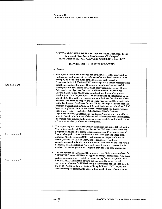| See comment 1. | "NATIONAL MISSILE DEFENSE: Schedule and Technical Risks<br>Represent Significant Development Challenges,"<br>dated October 15, 1997, (GAO Code 707208), OSD Case 1477<br>DEPARTMENT OF DEFENSE COMMENTS<br><b>Key Issues</b><br>1. The report does not acknowledge any of the successes the program has<br>had recently and appears to include somewhat outdated material. For<br>example, no mention is made of the successful flight test of an<br>Exoatmospheric Kill Vehicle (EKV) sensor against a threat representative<br>target suite earlier this year. It makes no mention of the successful<br>participation in that test of BM/C3 and early warning systems. It also<br>fails to acknowledge that the structural facilities for the prototype<br>Ground-based Radar (GBR) were completed just 1 year after ground<br>breaking and that the prototype GBR is on track to be operational by the<br>end of 1998. It provides no current status to indicate that the rest of the<br>program is on track to support the upcoming ground and flight tests prior<br>to the Deployment Readiness Review (DRR). The report implies that the<br>program was initiated in October 1996 and that no prior related work had<br>been accomplished. In fact, the current Deployment Readiness Program<br>(DRP) was a natural evolution of the Ballistic Missile Defense<br>Organization (BMDO) Technology Readiness Program (and even efforts<br>prior to that) in which many of the critical technologies were investigated,<br>lead times were defined and shortened where possible, and in which most<br>of the element design efforts were completed. |
|----------------|--------------------------------------------------------------------------------------------------------------------------------------------------------------------------------------------------------------------------------------------------------------------------------------------------------------------------------------------------------------------------------------------------------------------------------------------------------------------------------------------------------------------------------------------------------------------------------------------------------------------------------------------------------------------------------------------------------------------------------------------------------------------------------------------------------------------------------------------------------------------------------------------------------------------------------------------------------------------------------------------------------------------------------------------------------------------------------------------------------------------------------------------------------------------------------------------------------------------------------------------------------------------------------------------------------------------------------------------------------------------------------------------------------------------------------------------------------------------------------------------------------------------------------------------------------------------------------------------------------------------------------------------------------|
| See comment 2. | 2. The report implies that there are new risks from the limited flight testing.<br>The limited number of flight tests before the DRR was known when the<br>program transitioned to Major Defense Acquisition Program status and<br>has not changed. It was also known at that time that the edges of the<br>National Missile Defense (NMD) performance envelope would not be<br>tested (or even testable) in flight, due to range safety and other<br>considerations--that is, that simulations and hardware-in-the-loop would<br>be critical to demonstrating NMD system performance. No mention is<br>made of the robust ground test program that has long been underway.                                                                                                                                                                                                                                                                                                                                                                                                                                                                                                                                                                                                                                                                                                                                                                                                                                                                                                                                                                            |
| See comment 3  | 3. The comparison in calculating the number of the flight tests completed for<br>SAFEGUARD versus NMD is an apples-to-oranges comparison. The start<br>and stop points are not consistent in measuring the two programs. For<br>SAFEGUARD, the number of tests are calculated from start until<br>operational, whereas for NMD the only tests counted are the ones prior to<br>the DRR. Additionally, only tests utilizing dedicated NMD targets and<br>NMD Interceptor components are counted, not the target of opportunity                                                                                                                                                                                                                                                                                                                                                                                                                                                                                                                                                                                                                                                                                                                                                                                                                                                                                                                                                                                                                                                                                                                          |
|                |                                                                                                                                                                                                                                                                                                                                                                                                                                                                                                                                                                                                                                                                                                                                                                                                                                                                                                                                                                                                                                                                                                                                                                                                                                                                                                                                                                                                                                                                                                                                                                                                                                                        |

l,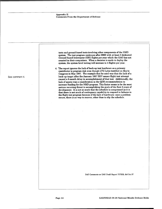